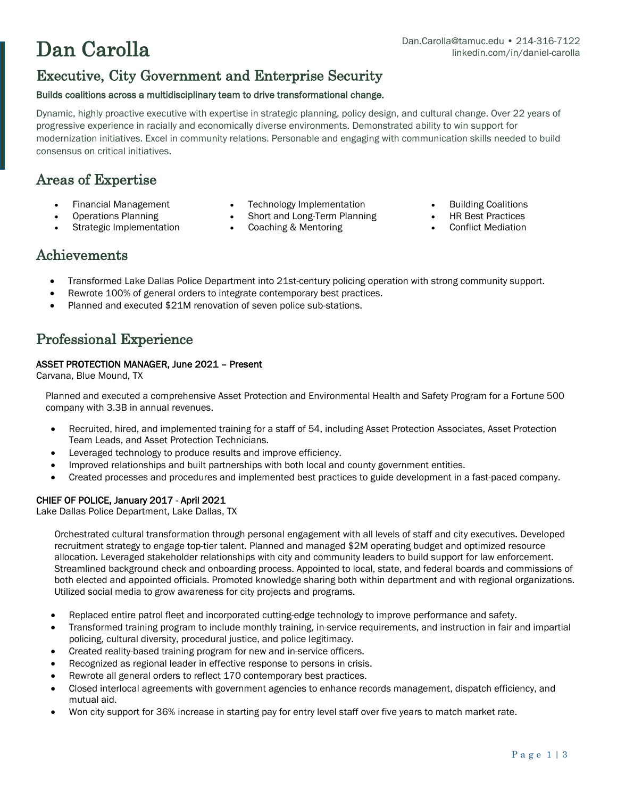# Executive, City Government and Enterprise Security

#### Builds coalitions across a multidisciplinary team to drive transformational change.

Dynamic, highly proactive executive with expertise in strategic planning, policy design, and cultural change. Over 22 years of progressive experience in racially and economically diverse environments. Demonstrated ability to win support for modernization initiatives. Excel in community relations. Personable and engaging with communication skills needed to build consensus on critical initiatives.

# Areas of Expertise

- 
- 
- Strategic Implementation
- Financial Management **•** Technology Implementation **•** Building Coalitions<br>Operations Planning **•** Short and Long-Term Planning **•** HR Best Practices
	-
	- **Short and Long-Term Planning HR Best Practices Coaching & Mentoring Conflict Mediation** 
		-

### Achievements

- Transformed Lake Dallas Police Department into 21st-century policing operation with strong community support.
- Rewrote 100% of general orders to integrate contemporary best practices.
- Planned and executed \$21M renovation of seven police sub-stations.

# Professional Experience

#### ASSET PROTECTION MANAGER, June 2021 – Present

Carvana, Blue Mound, TX

Planned and executed a comprehensive Asset Protection and Environmental Health and Safety Program for a Fortune 500 company with 3.3B in annual revenues.

- Recruited, hired, and implemented training for a staff of 54, including Asset Protection Associates, Asset Protection Team Leads, and Asset Protection Technicians.
- Leveraged technology to produce results and improve efficiency.
- Improved relationships and built partnerships with both local and county government entities.
- Created processes and procedures and implemented best practices to guide development in a fast-paced company.

### CHIEF OF POLICE, January 2017 - April 2021

Lake Dallas Police Department, Lake Dallas, TX

Orchestrated cultural transformation through personal engagement with all levels of staff and city executives. Developed recruitment strategy to engage top-tier talent. Planned and managed \$2M operating budget and optimized resource allocation. Leveraged stakeholder relationships with city and community leaders to build support for law enforcement. Streamlined background check and onboarding process. Appointed to local, state, and federal boards and commissions of both elected and appointed officials. Promoted knowledge sharing both within department and with regional organizations. Utilized social media to grow awareness for city projects and programs.

- Replaced entire patrol fleet and incorporated cutting-edge technology to improve performance and safety.
- Transformed training program to include monthly training, in-service requirements, and instruction in fair and impartial policing, cultural diversity, procedural justice, and police legitimacy.
- Created reality-based training program for new and in-service officers.
- Recognized as regional leader in effective response to persons in crisis.
- Rewrote all general orders to reflect 170 contemporary best practices.
- Closed interlocal agreements with government agencies to enhance records management, dispatch efficiency, and mutual aid.
- Won city support for 36% increase in starting pay for entry level staff over five years to match market rate.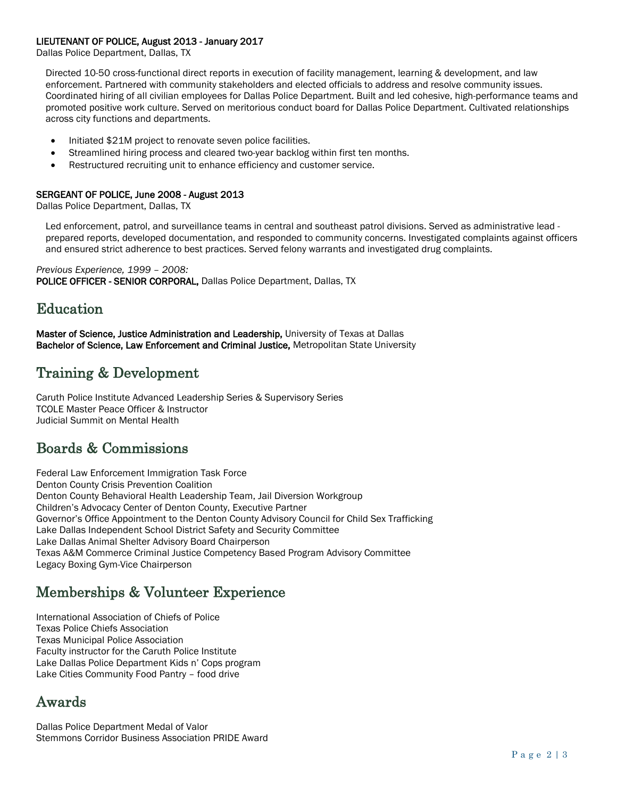#### LIEUTENANT OF POLICE, August 2013 - January 2017

Dallas Police Department, Dallas, TX

Directed 10-50 cross-functional direct reports in execution of facility management, learning & development, and law enforcement. Partnered with community stakeholders and elected officials to address and resolve community issues. Coordinated hiring of all civilian employees for Dallas Police Department. Built and led cohesive, high-performance teams and promoted positive work culture. Served on meritorious conduct board for Dallas Police Department. Cultivated relationships across city functions and departments.

- Initiated \$21M project to renovate seven police facilities.
- Streamlined hiring process and cleared two-year backlog within first ten months.
- Restructured recruiting unit to enhance efficiency and customer service.

#### SERGEANT OF POLICE, June 2008 - August 2013

Dallas Police Department, Dallas, TX

Led enforcement, patrol, and surveillance teams in central and southeast patrol divisions. Served as administrative lead prepared reports, developed documentation, and responded to community concerns. Investigated complaints against officers and ensured strict adherence to best practices. Served felony warrants and investigated drug complaints.

*Previous Experience, 1999 – 2008:* POLICE OFFICER - SENIOR CORPORAL, Dallas Police Department, Dallas, TX

### Education

Master of Science, Justice Administration and Leadership, University of Texas at Dallas Bachelor of Science, Law Enforcement and Criminal Justice, Metropolitan State University

# Training & Development

Caruth Police Institute Advanced Leadership Series & Supervisory Series TCOLE Master Peace Officer & Instructor Judicial Summit on Mental Health

### Boards & Commissions

Federal Law Enforcement Immigration Task Force Denton County Crisis Prevention Coalition Denton County Behavioral Health Leadership Team, Jail Diversion Workgroup Children's Advocacy Center of Denton County, Executive Partner Governor's Office Appointment to the Denton County Advisory Council for Child Sex Trafficking Lake Dallas Independent School District Safety and Security Committee Lake Dallas Animal Shelter Advisory Board Chairperson Texas A&M Commerce Criminal Justice Competency Based Program Advisory Committee Legacy Boxing Gym-Vice Chairperson

### Memberships & Volunteer Experience

International Association of Chiefs of Police Texas Police Chiefs Association Texas Municipal Police Association Faculty instructor for the Caruth Police Institute Lake Dallas Police Department Kids n' Cops program Lake Cities Community Food Pantry – food drive

# Awards

Dallas Police Department Medal of Valor Stemmons Corridor Business Association PRIDE Award